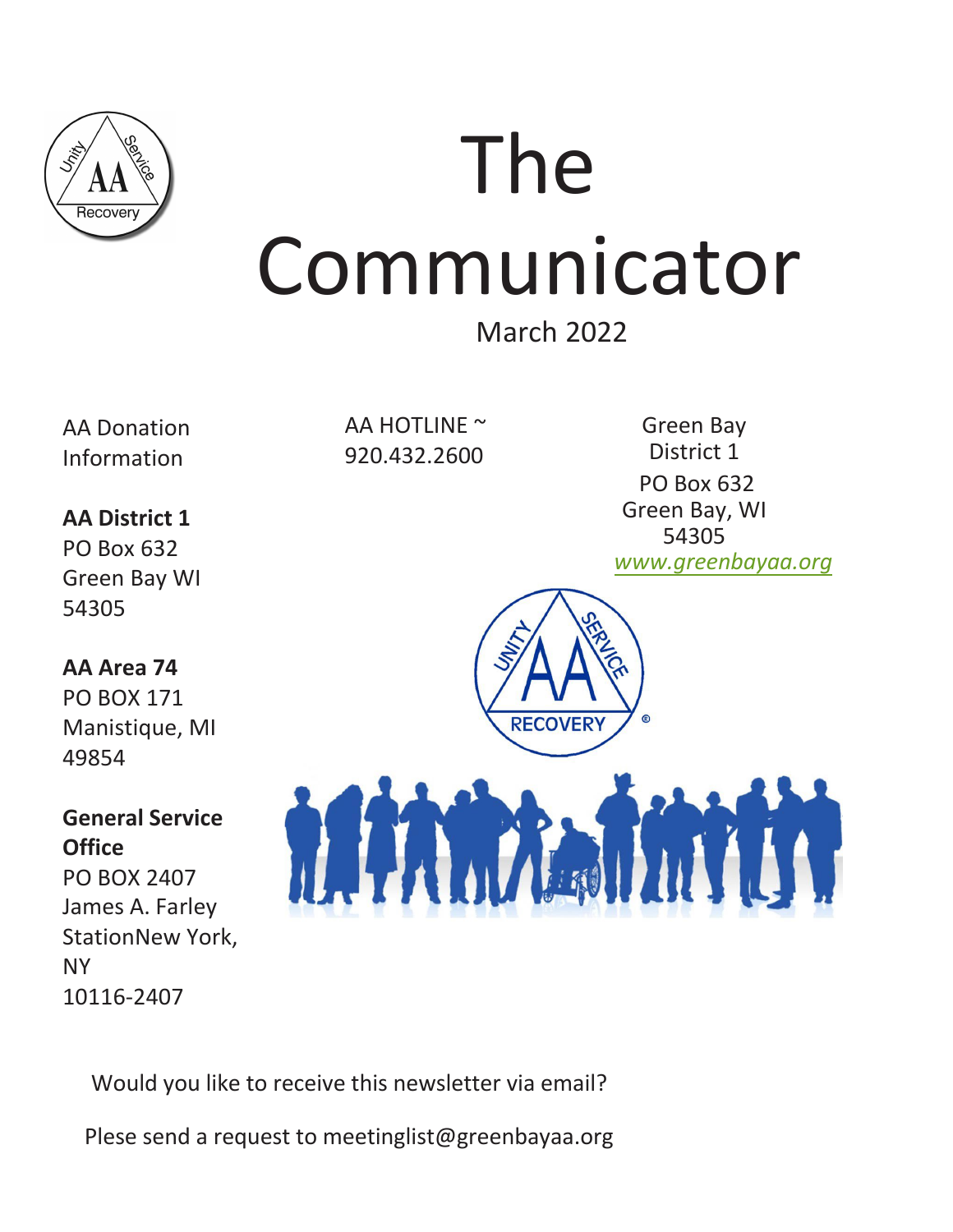

# The Communicator

# March 2022

AA Donation Information

**AA District 1** PO Box 632

Green Bay WI

**AA Area 74** PO BOX 171

Manistique, MI

**General Service**

PO BOX 2407

10116-2407

James A. Farley

StationNew York,

54305

49854

**Office**

NY

AA HOTLINE ~ 920.432.2600

Green Bay District 1 PO Box 632 Green Bay, WI 54305 *[www.greenbay](http://www.greenbayaa.orgaa.org/)aa.org*



Would you like to receive this newsletter via email?

Plese send a request to meetinglist@greenbayaa.org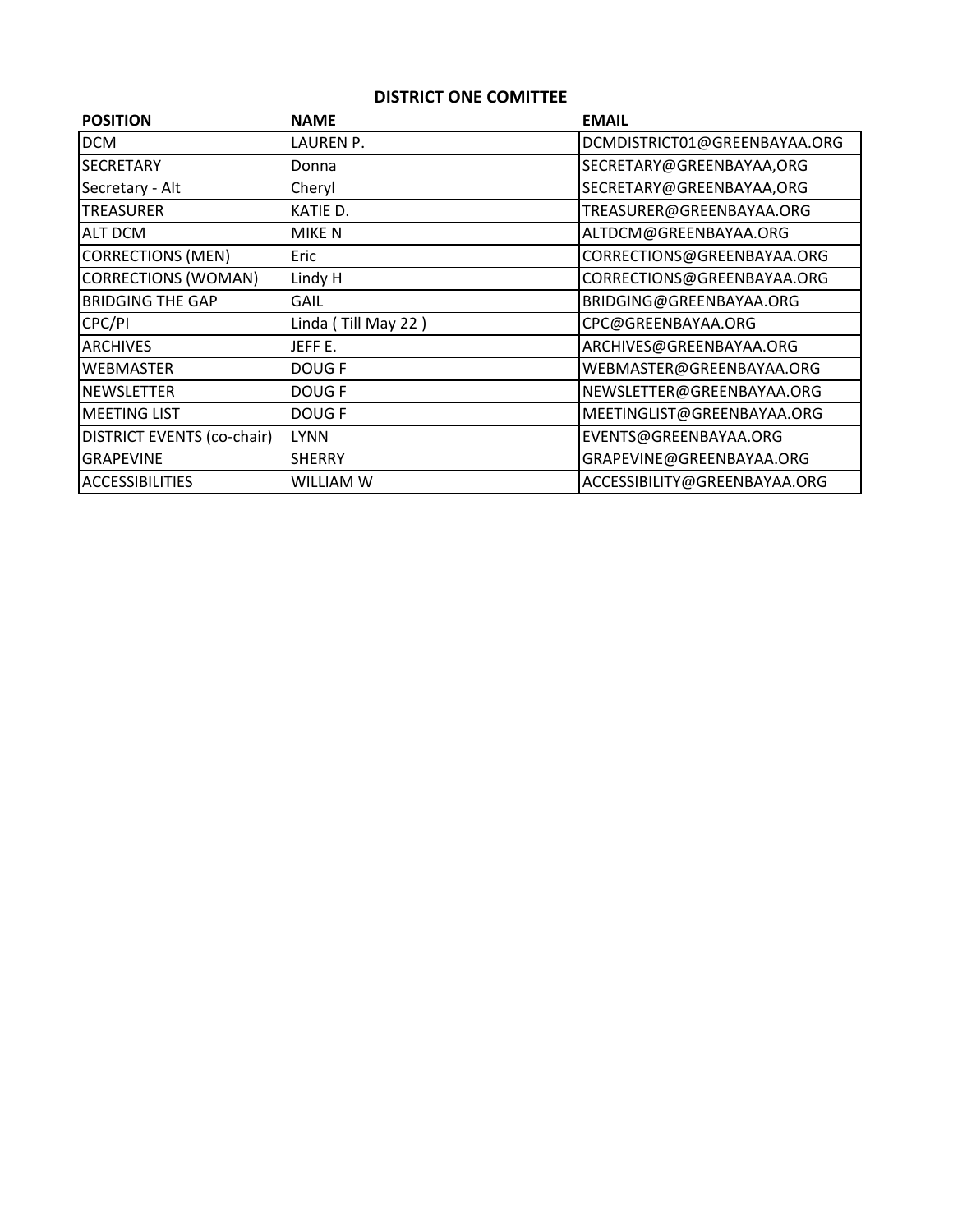### **DISTRICT ONE COMITTEE**

| <b>POSITION</b>                   | <b>NAME</b>         | <b>EMAIL</b>                 |  |
|-----------------------------------|---------------------|------------------------------|--|
| <b>DCM</b>                        | LAUREN P.           | DCMDISTRICT01@GREENBAYAA.ORG |  |
| <b>SECRETARY</b>                  | Donna               | SECRETARY@GREENBAYAA,ORG     |  |
| Secretary - Alt                   | Cheryl              | SECRETARY@GREENBAYAA,ORG     |  |
| <b>TREASURER</b>                  | KATIE D.            | TREASURER@GREENBAYAA.ORG     |  |
| ALT DCM                           | MIKE N              | ALTDCM@GREENBAYAA.ORG        |  |
| <b>CORRECTIONS (MEN)</b>          | Eric                | CORRECTIONS@GREENBAYAA.ORG   |  |
| <b>CORRECTIONS (WOMAN)</b>        | Lindy H             | CORRECTIONS@GREENBAYAA.ORG   |  |
| <b>BRIDGING THE GAP</b>           | GAIL                | BRIDGING@GREENBAYAA.ORG      |  |
| CPC/PI                            | Linda (Till May 22) | CPC@GREENBAYAA.ORG           |  |
| <b>ARCHIVES</b>                   | JEFF E.             | ARCHIVES@GREENBAYAA.ORG      |  |
| <b>WEBMASTER</b>                  | DOUG F              | WEBMASTER@GREENBAYAA.ORG     |  |
| <b>NEWSLETTER</b>                 | DOUG F              | NEWSLETTER@GREENBAYAA.ORG    |  |
| <b>MEETING LIST</b>               | DOUG F              | MEETINGLIST@GREENBAYAA.ORG   |  |
| <b>DISTRICT EVENTS (co-chair)</b> | <b>LYNN</b>         | EVENTS@GREENBAYAA.ORG        |  |
| <b>GRAPEVINE</b>                  | <b>SHERRY</b>       | GRAPEVINE@GREENBAYAA.ORG     |  |
| <b>ACCESSIBILITIES</b>            | WILLIAM W           | ACCESSIBILITY@GREENBAYAA.ORG |  |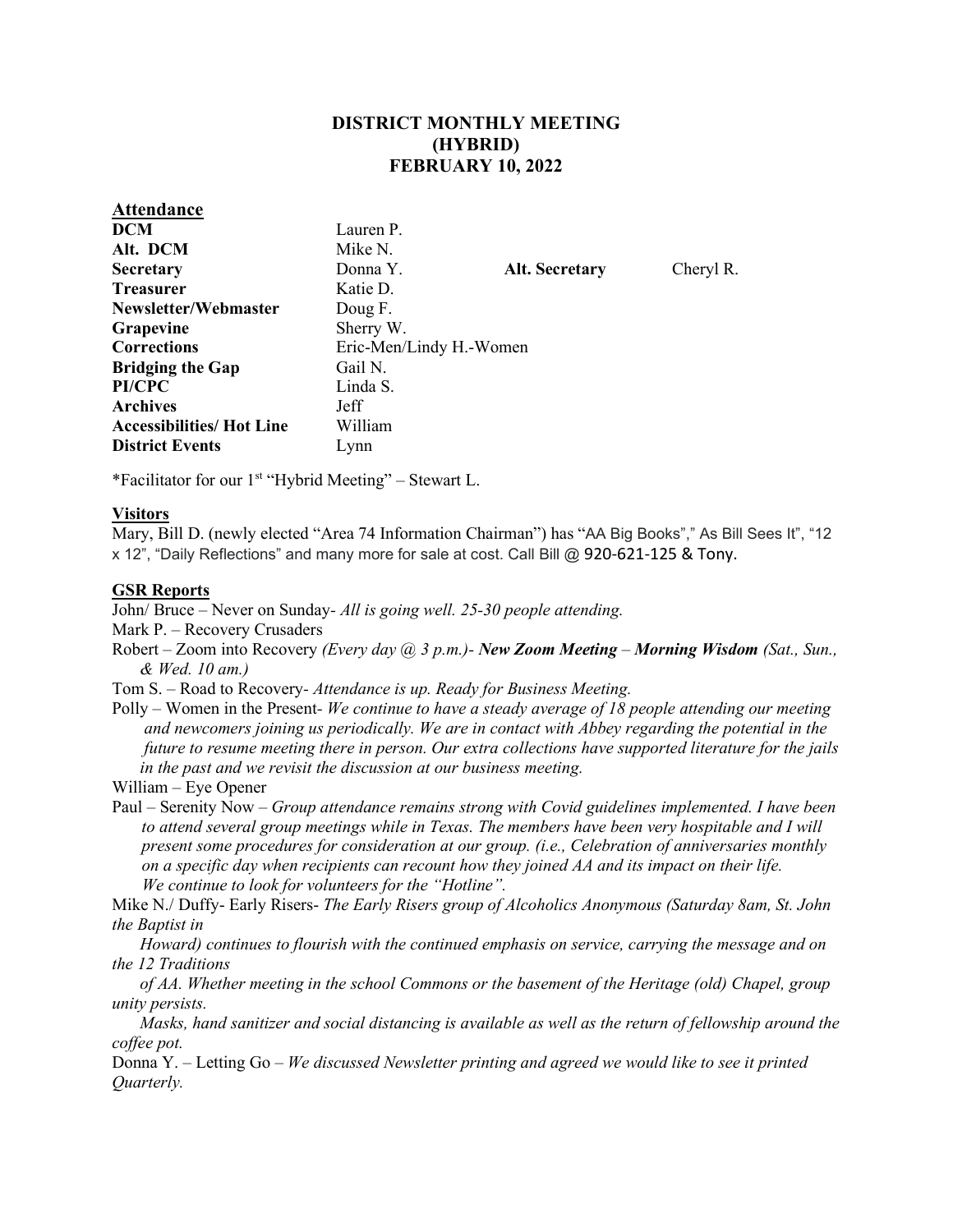### **DISTRICT MONTHLY MEETING (HYBRID) FEBRUARY 10, 2022**

| <b>Attendance</b>                |                         |                       |           |  |
|----------------------------------|-------------------------|-----------------------|-----------|--|
| <b>DCM</b>                       | Lauren P.               |                       |           |  |
| Alt. DCM                         | Mike N.                 |                       |           |  |
| <b>Secretary</b>                 | Donna Y.                | <b>Alt. Secretary</b> | Cheryl R. |  |
| <b>Treasurer</b>                 | Katie D.                |                       |           |  |
| Newsletter/Webmaster             | Doug F.                 |                       |           |  |
| <b>Grapevine</b>                 | Sherry W.               |                       |           |  |
| <b>Corrections</b>               | Eric-Men/Lindy H.-Women |                       |           |  |
| <b>Bridging the Gap</b>          | Gail N.                 |                       |           |  |
| PI/CPC                           | Linda S.                |                       |           |  |
| <b>Archives</b>                  | Jeff                    |                       |           |  |
| <b>Accessibilities/ Hot Line</b> | William                 |                       |           |  |
| <b>District Events</b>           | Lynn                    |                       |           |  |
|                                  |                         |                       |           |  |

\*Facilitator for our  $1<sup>st</sup>$  "Hybrid Meeting" – Stewart L.

### **Visitors**

Mary, Bill D. (newly elected "Area 74 Information Chairman") has "AA Big Books"," As Bill Sees It", "12 x 12", "Daily Reflections" and many more for sale at cost. Call Bill @ 920-621-125 & Tony.

### **GSR Reports**

John/ Bruce – Never on Sunday*- All is going well. 25-30 people attending.* 

Mark P. – Recovery Crusaders

- Robert Zoom into Recovery *(Every day @ 3 p.m.)- New Zoom Meeting Morning Wisdom (Sat., Sun., & Wed. 10 am.)*
- Tom S.Road to Recovery *Attendance is up. Ready for Business Meeting.*
- Polly *–* Women in the Present *We continue to have a steady average of 18 people attending our meeting and newcomers joining us periodically. We are in contact with Abbey regarding the potential in the future to resume meeting there in person. Our extra collections have supported literature for the jails in the past and we revisit the discussion at our business meeting.*

William – Eye Opener

Paul – Serenity Now *– Group attendance remains strong with Covid guidelines implemented. I have been to attend several group meetings while in Texas. The members have been very hospitable and I will present some procedures for consideration at our group. (i.e., Celebration of anniversaries monthly on a specific day when recipients can recount how they joined AA and its impact on their life. We continue to look for volunteers for the "Hotline".* 

Mike N./ Duffy- Early Risers- *The Early Risers group of Alcoholics Anonymous (Saturday 8am, St. John the Baptist in* 

 *Howard) continues to flourish with the continued emphasis on service, carrying the message and on the 12 Traditions* 

 *of AA. Whether meeting in the school Commons or the basement of the Heritage (old) Chapel, group unity persists.* 

 *Masks, hand sanitizer and social distancing is available as well as the return of fellowship around the coffee pot.*

Donna Y. – Letting Go *– We discussed Newsletter printing and agreed we would like to see it printed Quarterly.*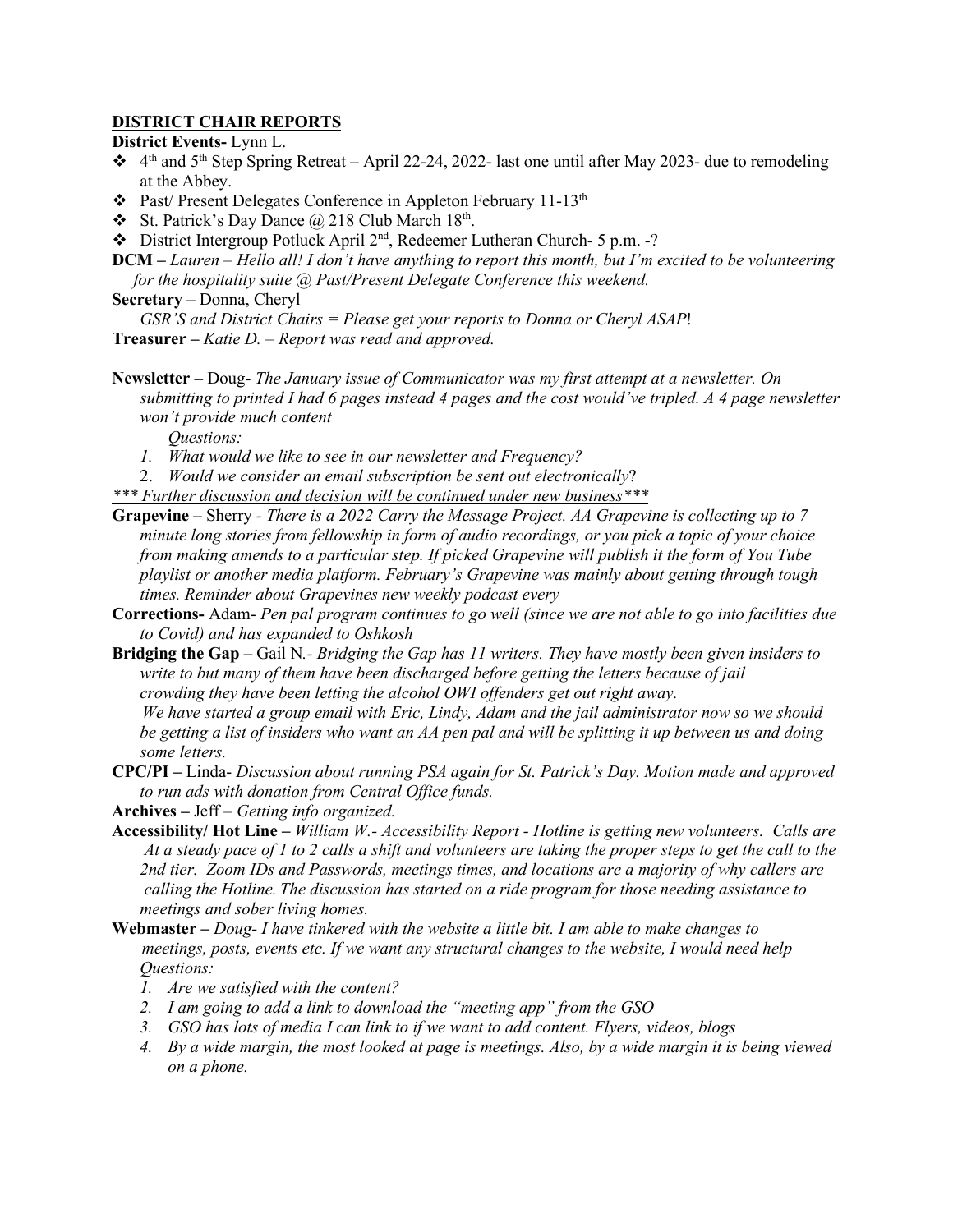### **DISTRICT CHAIR REPORTS**

**District Events-** Lynn L.

- $\cdot$  4<sup>th</sup> and 5<sup>th</sup> Step Spring Retreat April 22-24, 2022- last one until after May 2023- due to remodeling at the Abbey.
- Past/ Present Delegates Conference in Appleton February 11-13th
- St. Patrick's Day Dance  $\omega$  218 Club March 18<sup>th</sup>.
- District Intergroup Potluck April 2nd, Redeemer Lutheran Church- 5 p.m. -?
- **DCM** *Lauren Hello all! I don't have anything to report this month, but I'm excited to be volunteering for the hospitality suite @ Past/Present Delegate Conference this weekend.*

**Secretary –** Donna, Cheryl

*GSR'S and District Chairs = Please get your reports to Donna or Cheryl ASAP*!

**Treasurer –** *Katie D. – Report was read and approved.*

**Newsletter** *–* Doug- *The January issue of Communicator was my first attempt at a newsletter. On submitting to printed I had 6 pages instead 4 pages and the cost would've tripled. A 4 page newsletter won't provide much content* 

*Questions:* 

- *1. What would we like to see in our newsletter and Frequency?*
- 2. *Would we consider an email subscription be sent out electronically*?
- *\*\*\* Further discussion and decision will be continued under new business\*\*\**
- **Grapevine** Sherry  *There is a 2022 Carry the Message Project. AA Grapevine is collecting up to 7 minute long stories from fellowship in form of audio recordings, or you pick a topic of your choice from making amends to a particular step. If picked Grapevine will publish it the form of You Tube playlist or another media platform. February's Grapevine was mainly about getting through tough times. Reminder about Grapevines new weekly podcast every*
- **Corrections-** Adam- *Pen pal program continues to go well (since we are not able to go into facilities due to Covid) and has expanded to Oshkosh*
- **Bridging the Gap** Gail N*.- Bridging the Gap has 11 writers. They have mostly been given insiders to write to but many of them have been discharged before getting the letters because of jail crowding they have been letting the alcohol OWI offenders get out right away.*

 *We have started a group email with Eric, Lindy, Adam and the jail administrator now so we should be getting a list of insiders who want an AA pen pal and will be splitting it up between us and doing some letters.*

**CPC/PI –** Linda- *Discussion about running PSA again for St. Patrick's Day. Motion made and approved to run ads with donation from Central Office funds.*

**Archives –** Jeff – *Getting info organized.*

- **Accessibility/ Hot Line** *William W.- Accessibility Report Hotline is getting new volunteers. Calls are At a steady pace of 1 to 2 calls a shift and volunteers are taking the proper steps to get the call to the 2nd tier. Zoom IDs and Passwords, meetings times, and locations are a majority of why callers are calling the Hotline. The discussion has started on a ride program for those needing assistance to meetings and sober living homes.*
- **Webmaster** *Doug- I have tinkered with the website a little bit. I am able to make changes to meetings, posts, events etc. If we want any structural changes to the website, I would need help Questions:* 
	- *1. Are we satisfied with the content?*
	- *2. I am going to add a link to download the "meeting app" from the GSO*
	- *3. GSO has lots of media I can link to if we want to add content. Flyers, videos, blogs*
	- *4. By a wide margin, the most looked at page is meetings. Also, by a wide margin it is being viewed on a phone.*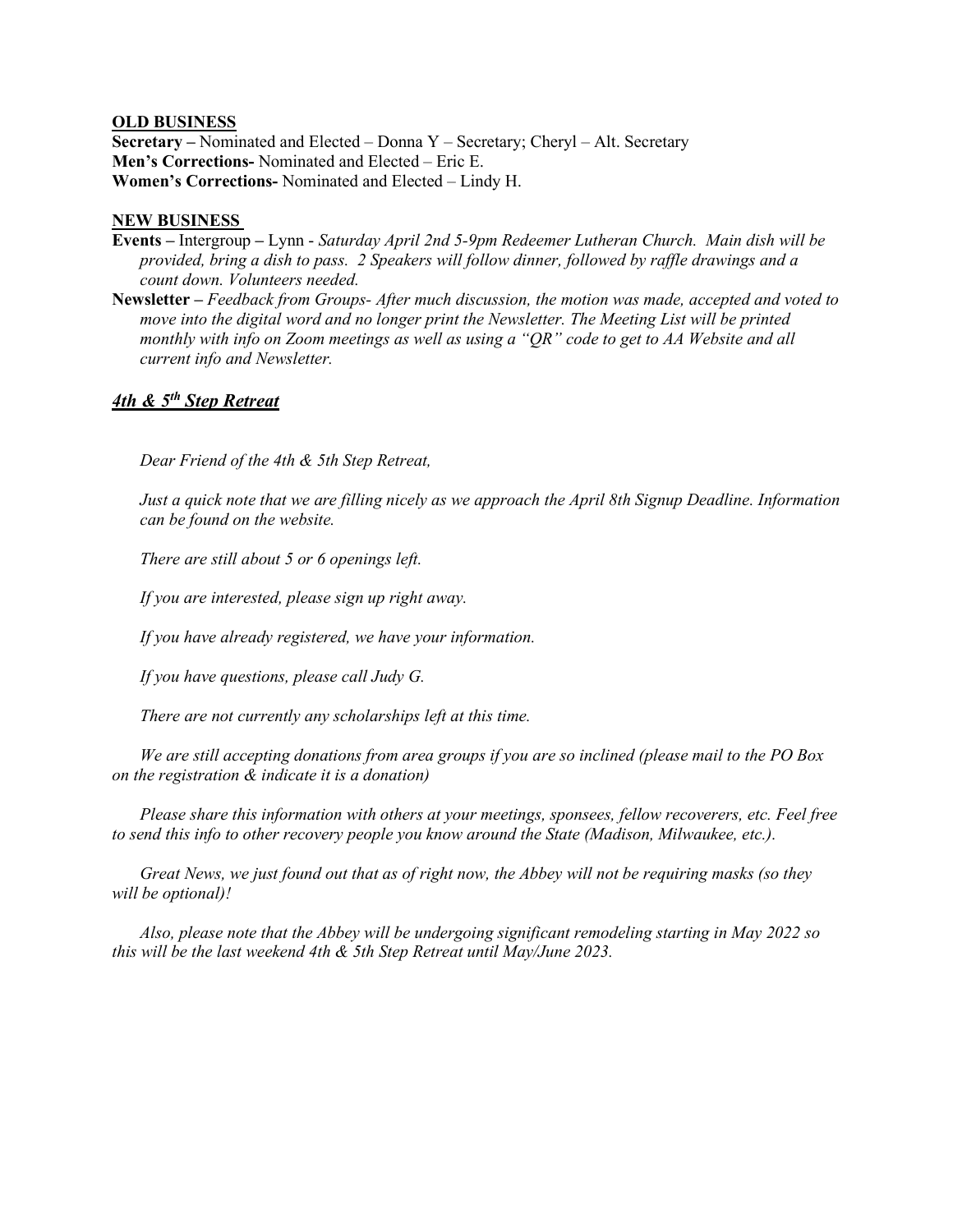#### **OLD BUSINESS**

**Secretary –** Nominated and Elected – Donna Y – Secretary; Cheryl – Alt. Secretary **Men's Corrections-** Nominated and Elected – Eric E. **Women's Corrections-** Nominated and Elected – Lindy H.

#### **NEW BUSINESS**

- **Events** IntergroupLynn *Saturday April 2nd 5-9pm Redeemer Lutheran Church. Main dish will be provided, bring a dish to pass. 2 Speakers will follow dinner, followed by raffle drawings and a count down. Volunteers needed.*
- **Newsletter** *Feedback from Groups- After much discussion, the motion was made, accepted and voted to move into the digital word and no longer print the Newsletter. The Meeting List will be printed monthly with info on Zoom meetings as well as using a "QR" code to get to AA Website and all current info and Newsletter.*

### *4th & 5th Step Retreat*

*Dear Friend of the 4th & 5th Step Retreat,* 

*Just a quick note that we are filling nicely as we approach the April 8th Signup Deadline. Information can be found on the website.* 

*There are still about 5 or 6 openings left.* 

*If you are interested, please sign up right away.* 

*If you have already registered, we have your information.* 

*If you have questions, please call Judy G.* 

*There are not currently any scholarships left at this time.*

*We are still accepting donations from area groups if you are so inclined (please mail to the PO Box on the registration & indicate it is a donation)*

*Please share this information with others at your meetings, sponsees, fellow recoverers, etc. Feel free to send this info to other recovery people you know around the State (Madison, Milwaukee, etc.).* 

*Great News, we just found out that as of right now, the Abbey will not be requiring masks (so they will be optional)!* 

*Also, please note that the Abbey will be undergoing significant remodeling starting in May 2022 so this will be the last weekend 4th & 5th Step Retreat until May/June 2023.*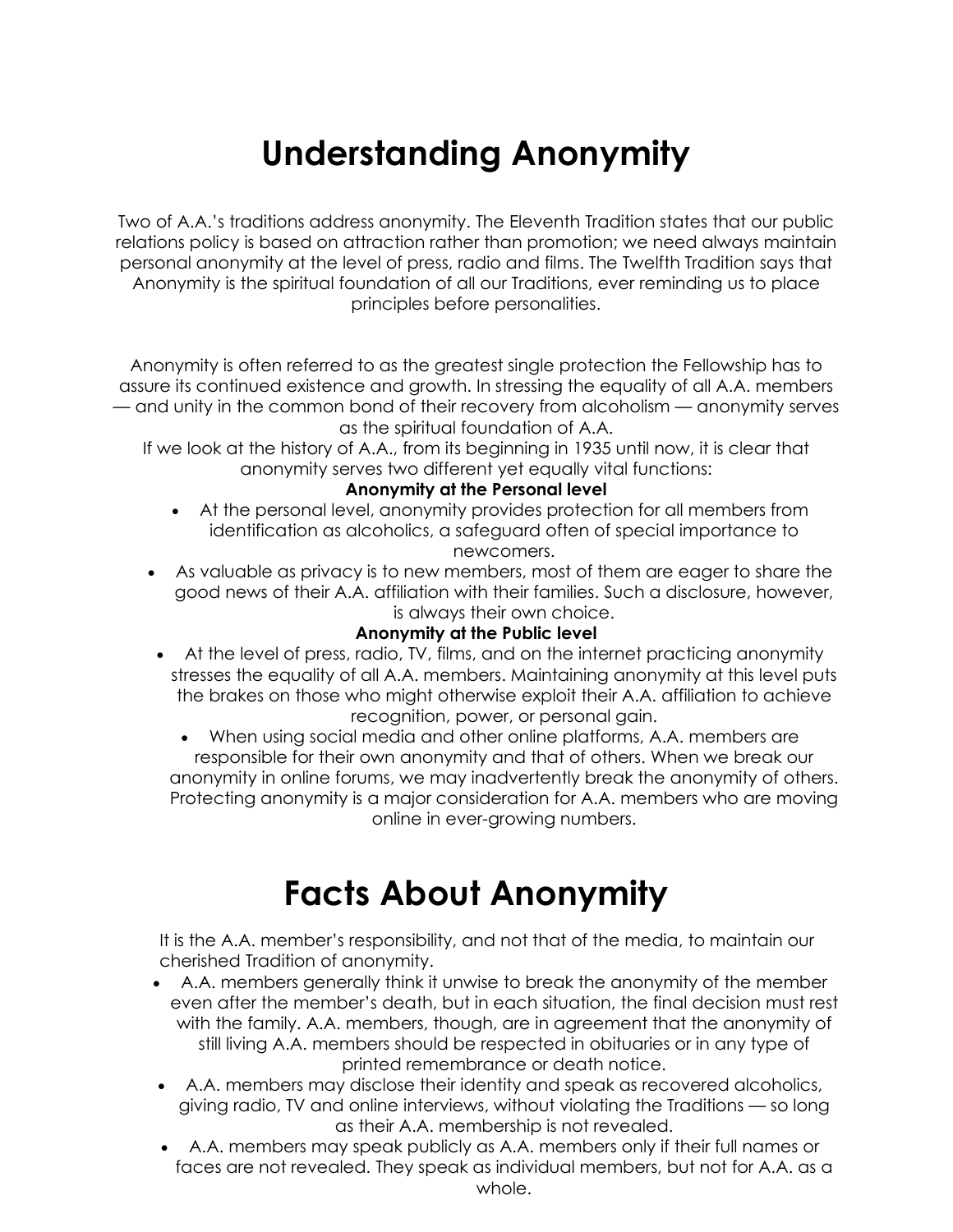# **Understanding Anonymity**

Two of A.A.'s traditions address anonymity. The Eleventh Tradition states that our public relations policy is based on attraction rather than promotion; we need always maintain personal anonymity at the level of press, radio and films. The Twelfth Tradition says that Anonymity is the spiritual foundation of all our Traditions, ever reminding us to place principles before personalities.

Anonymity is often referred to as the greatest single protection the Fellowship has to assure its continued existence and growth. In stressing the equality of all A.A. members — and unity in the common bond of their recovery from alcoholism — anonymity serves as the spiritual foundation of A.A.

If we look at the history of A.A., from its beginning in 1935 until now, it is clear that anonymity serves two different yet equally vital functions:

### **Anonymity at the Personal level**

- At the personal level, anonymity provides protection for all members from identification as alcoholics, a safeguard often of special importance to newcomers.
- As valuable as privacy is to new members, most of them are eager to share the good news of their A.A. affiliation with their families. Such a disclosure, however, is always their own choice.

### **Anonymity at the Public level**

- At the level of press, radio, TV, films, and on the internet practicing anonymity stresses the equality of all A.A. members. Maintaining anonymity at this level puts the brakes on those who might otherwise exploit their A.A. affiliation to achieve recognition, power, or personal gain.
	- When using social media and other online platforms, A.A. members are responsible for their own anonymity and that of others. When we break our anonymity in online forums, we may inadvertently break the anonymity of others. Protecting anonymity is a major consideration for A.A. members who are moving online in ever-growing numbers.

# **Facts About Anonymity**

It is the A.A. member's responsibility, and not that of the media, to maintain our cherished Tradition of anonymity.

- A.A. members generally think it unwise to break the anonymity of the member even after the member's death, but in each situation, the final decision must rest with the family. A.A. members, though, are in agreement that the anonymity of still living A.A. members should be respected in obituaries or in any type of printed remembrance or death notice.
- A.A. members may disclose their identity and speak as recovered alcoholics, giving radio, TV and online interviews, without violating the Traditions — so long as their A.A. membership is not revealed.
- A.A. members may speak publicly as A.A. members only if their full names or faces are not revealed. They speak as individual members, but not for A.A. as a whole.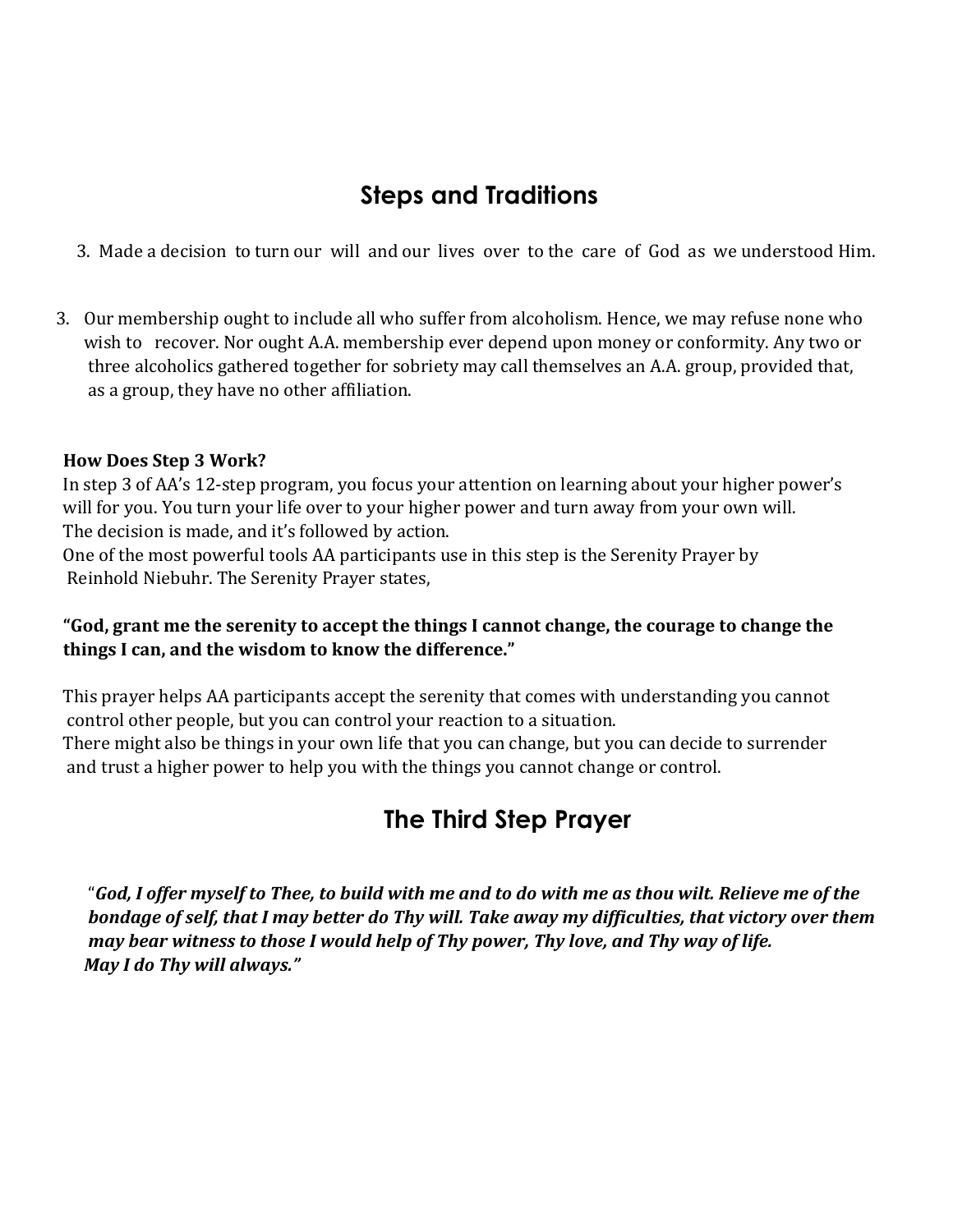### **Steps and Traditions**

- 3. Made a decision to turn our will and our lives over to the care of God as we understood Him.
- 3. Our membership ought to include all who suffer from alcoholism. Hence, we may refuse none who wish to recover. Nor ought A.A. membership ever depend upon money or conformity. Any two or three alcoholics gathered together for sobriety may call themselves an A.A. group, provided that, as a group, they have no other affiliation.

### **How Does Step 3 Work?**

In step 3 of AA's 12-step program, you focus your attention on learning about your higher power's will for you. You turn your life over to your higher power and turn away from your own will. The decision is made, and it's followed by action.

One of the most powerful tools AA participants use in this step is the Serenity Prayer by Reinhold Niebuhr. The Serenity Prayer states,

### **"God, grant me the serenity to accept the things I cannot change, the courage to change the things I can, and the wisdom to know the difference."**

This prayer helps AA participants accept the serenity that comes with understanding you cannot control other people, but you can control your reaction to a situation. There might also be things in your own life that you can change, but you can decide to surrender and trust a higher power to help you with the things you cannot change or control.

### **The Third Step Prayer**

 "*God, I offer myself to Thee, to build with me and to do with me as thou wilt. Relieve me of the bondage of self, that I may better do Thy will. Take away my difficulties, that victory over them may bear witness to those I would help of Thy power, Thy love, and Thy way of life. May I do Thy will always."*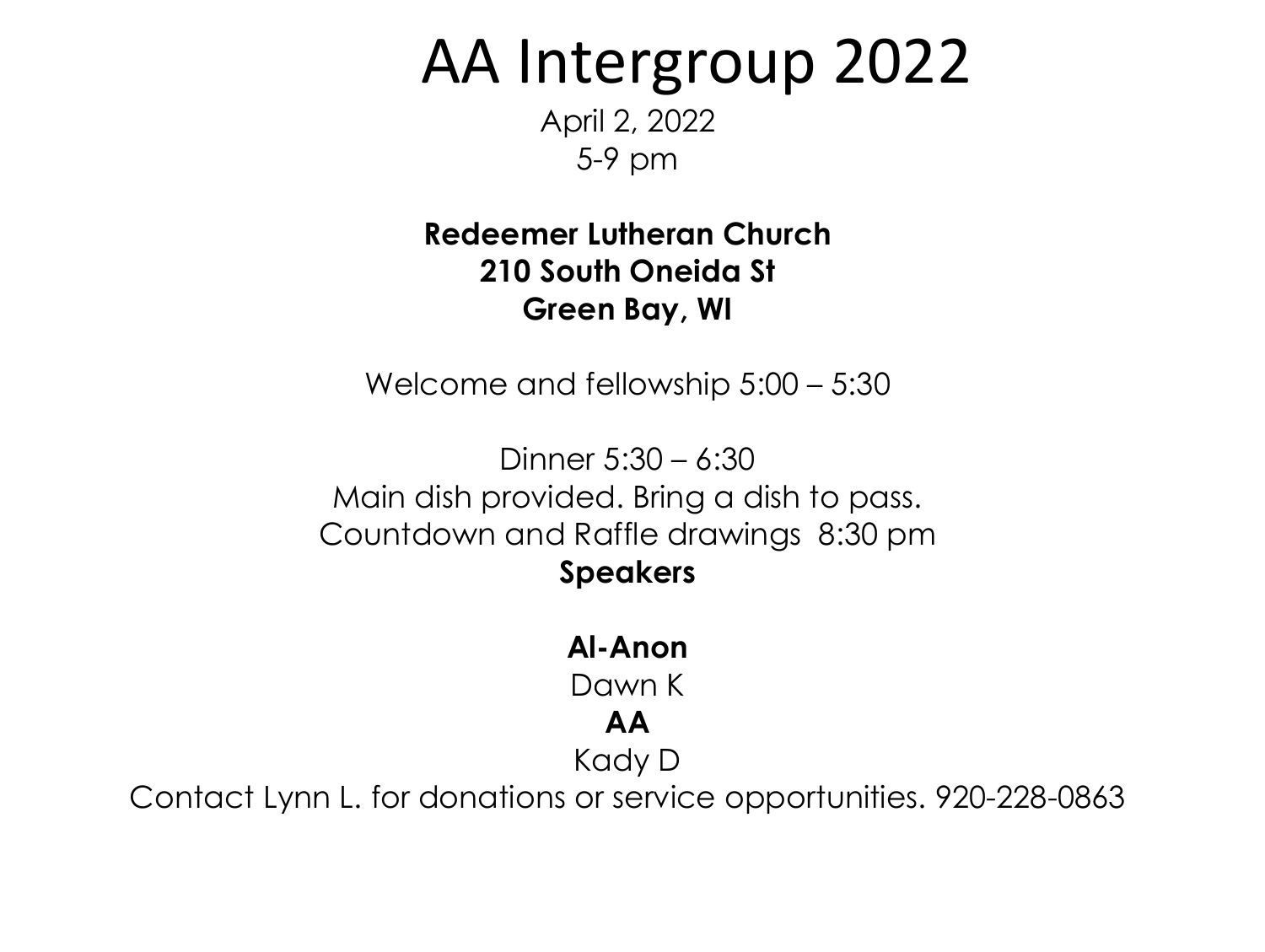AA Intergroup 2022

April 2, 2022 5-9 pm

**Redeemer Lutheran Church 210 South Oneida St Green Bay, WI**

Welcome and fellowship 5:00 – 5:30

Dinner 5:30 – 6:30 Main dish provided. Bring a dish to pass. Countdown and Raffle drawings 8:30 pm **Speakers**

# **Al-Anon**

Dawn K

## **AA**

Kady D

Contact Lynn L. for donations or service opportunities. 920-228-0863